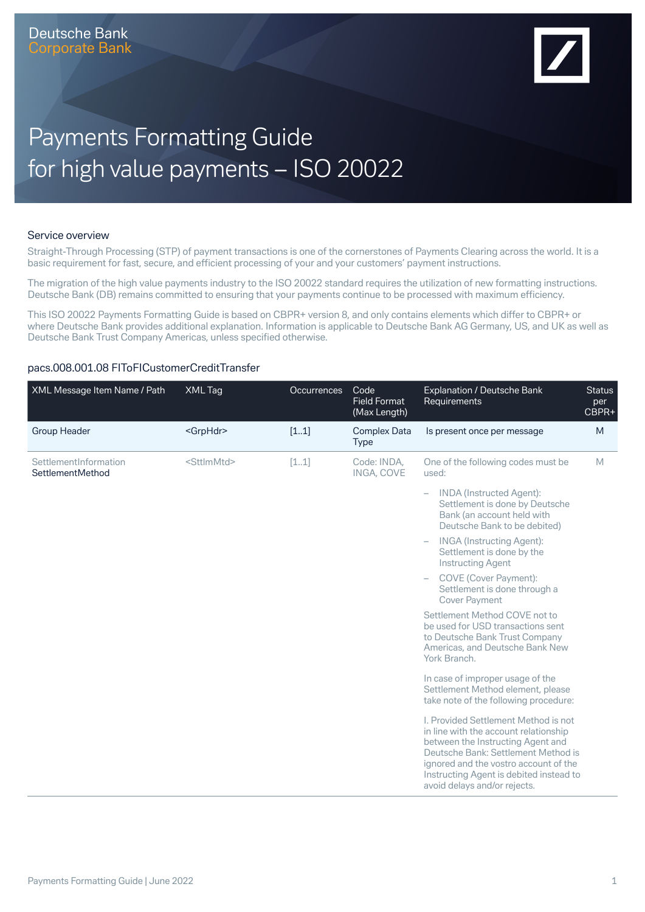

# Payments Formatting Guide for high value payments – ISO 20022

#### Service overview

Straight-Through Processing (STP) of payment transactions is one of the cornerstones of Payments Clearing across the world. It is a basic requirement for fast, secure, and efficient processing of your and your customers' payment instructions.

The migration of the high value payments industry to the ISO 20022 standard requires the utilization of new formatting instructions. Deutsche Bank (DB) remains committed to ensuring that your payments continue to be processed with maximum efficiency.

This ISO 20022 Payments Formatting Guide is based on CBPR+ version 8, and only contains elements which differ to CBPR+ or where Deutsche Bank provides additional explanation. Information is applicable to Deutsche Bank AG Germany, US, and UK as well as Deutsche Bank Trust Company Americas, unless specified otherwise.

#### pacs.008.001.08 FIToFICustomerCreditTransfer

| XML Message Item Name / Path              | XML Tag               | <b>Occurrences</b> | Code<br><b>Field Format</b><br>(Max Length) | Explanation / Deutsche Bank<br>Requirements                                                                                                                                                                                                                                   | <b>Status</b><br>per<br>CBPR+ |
|-------------------------------------------|-----------------------|--------------------|---------------------------------------------|-------------------------------------------------------------------------------------------------------------------------------------------------------------------------------------------------------------------------------------------------------------------------------|-------------------------------|
| <b>Group Header</b>                       | <grphdr></grphdr>     | [11]               | <b>Complex Data</b><br><b>Type</b>          | Is present once per message                                                                                                                                                                                                                                                   | M                             |
| SettlementInformation<br>SettlementMethod | <sttlmmtd></sttlmmtd> | [11]               | Code: INDA.<br>INGA, COVE                   | One of the following codes must be<br>used:                                                                                                                                                                                                                                   | M                             |
|                                           |                       |                    |                                             | <b>INDA</b> (Instructed Agent):<br>$\overline{\phantom{0}}$<br>Settlement is done by Deutsche<br>Bank (an account held with<br>Deutsche Bank to be debited)                                                                                                                   |                               |
|                                           |                       |                    |                                             | <b>INGA</b> (Instructing Agent):<br>$\overline{\phantom{0}}$<br>Settlement is done by the<br><b>Instructing Agent</b>                                                                                                                                                         |                               |
|                                           |                       |                    |                                             | COVE (Cover Payment):<br>$\qquad \qquad -$<br>Settlement is done through a<br><b>Cover Payment</b>                                                                                                                                                                            |                               |
|                                           |                       |                    |                                             | Settlement Method COVE not to<br>be used for USD transactions sent<br>to Deutsche Bank Trust Company<br>Americas, and Deutsche Bank New<br>York Branch.                                                                                                                       |                               |
|                                           |                       |                    |                                             | In case of improper usage of the<br>Settlement Method element, please<br>take note of the following procedure:                                                                                                                                                                |                               |
|                                           |                       |                    |                                             | I. Provided Settlement Method is not<br>in line with the account relationship<br>between the Instructing Agent and<br>Deutsche Bank: Settlement Method is<br>ignored and the vostro account of the<br>Instructing Agent is debited instead to<br>avoid delays and/or rejects. |                               |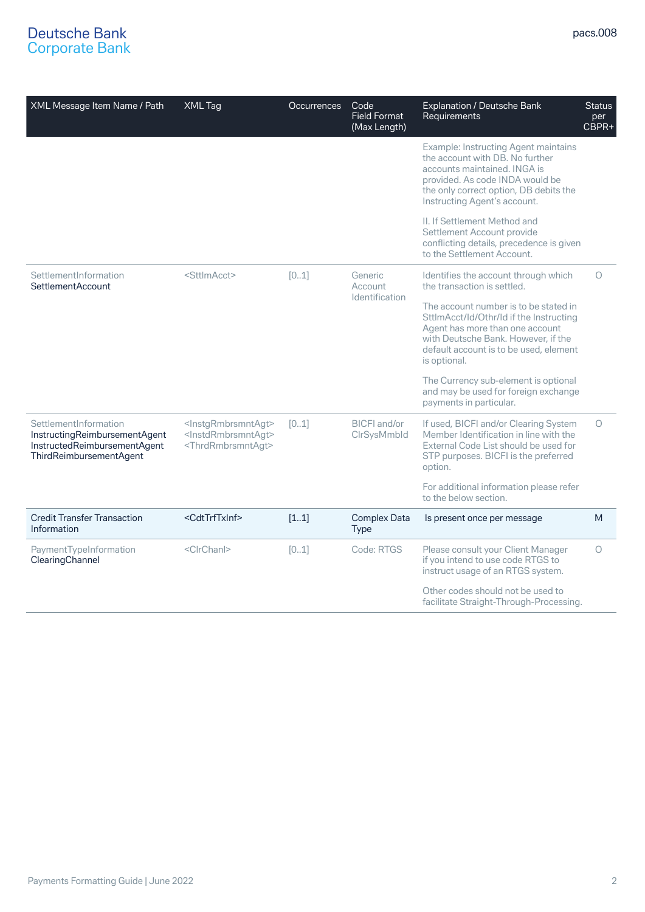| XML Message Item Name / Path                                                                                      | XML Tag                                                                                                                 | <b>Occurrences</b> | Code<br><b>Field Format</b><br>(Max Length) | <b>Explanation / Deutsche Bank</b><br>Requirements                                                                                                                                                                          | <b>Status</b><br>per<br>CBPR+ |
|-------------------------------------------------------------------------------------------------------------------|-------------------------------------------------------------------------------------------------------------------------|--------------------|---------------------------------------------|-----------------------------------------------------------------------------------------------------------------------------------------------------------------------------------------------------------------------------|-------------------------------|
|                                                                                                                   |                                                                                                                         |                    |                                             | <b>Example: Instructing Agent maintains</b><br>the account with DB. No further<br>accounts maintained. INGA is<br>provided. As code INDA would be<br>the only correct option, DB debits the<br>Instructing Agent's account. |                               |
|                                                                                                                   |                                                                                                                         |                    |                                             | II. If Settlement Method and<br>Settlement Account provide<br>conflicting details, precedence is given<br>to the Settlement Account.                                                                                        |                               |
| SettlementInformation<br><b>SettlementAccount</b>                                                                 | <sttlmacct></sttlmacct>                                                                                                 | [01]               | Generic<br>Account                          | Identifies the account through which<br>the transaction is settled.                                                                                                                                                         | $\circ$                       |
|                                                                                                                   |                                                                                                                         |                    | Identification                              | The account number is to be stated in<br>SttlmAcct/Id/Othr/Id if the Instructing<br>Agent has more than one account<br>with Deutsche Bank. However, if the<br>default account is to be used, element<br>is optional.        |                               |
|                                                                                                                   |                                                                                                                         |                    |                                             | The Currency sub-element is optional<br>and may be used for foreign exchange<br>payments in particular.                                                                                                                     |                               |
| SettlementInformation<br>InstructingReimbursementAgent<br>InstructedReimbursementAgent<br>ThirdReimbursementAgent | <instgrmbrsmntagt><br/><instdrmbrsmntagt><br/><thrdrmbrsmntagt></thrdrmbrsmntagt></instdrmbrsmntagt></instgrmbrsmntagt> | [01]               | <b>BICFI</b> and/or<br>CIrSysMmbId          | If used, BICFI and/or Clearing System<br>Member Identification in line with the<br>External Code List should be used for<br>STP purposes. BICFI is the preferred<br>option.                                                 | $\circ$                       |
|                                                                                                                   |                                                                                                                         |                    |                                             | For additional information please refer<br>to the below section.                                                                                                                                                            |                               |
| <b>Credit Transfer Transaction</b><br>Information                                                                 | <cdttrftxinf></cdttrftxinf>                                                                                             | [11]               | <b>Complex Data</b><br><b>Type</b>          | Is present once per message                                                                                                                                                                                                 | M                             |
| PaymentTypeInformation<br>ClearingChannel                                                                         | <clrchanl></clrchanl>                                                                                                   | [01]               | Code: RTGS                                  | Please consult your Client Manager<br>if you intend to use code RTGS to<br>instruct usage of an RTGS system.                                                                                                                | $\circ$                       |
|                                                                                                                   |                                                                                                                         |                    |                                             | Other codes should not be used to<br>facilitate Straight-Through-Processing.                                                                                                                                                |                               |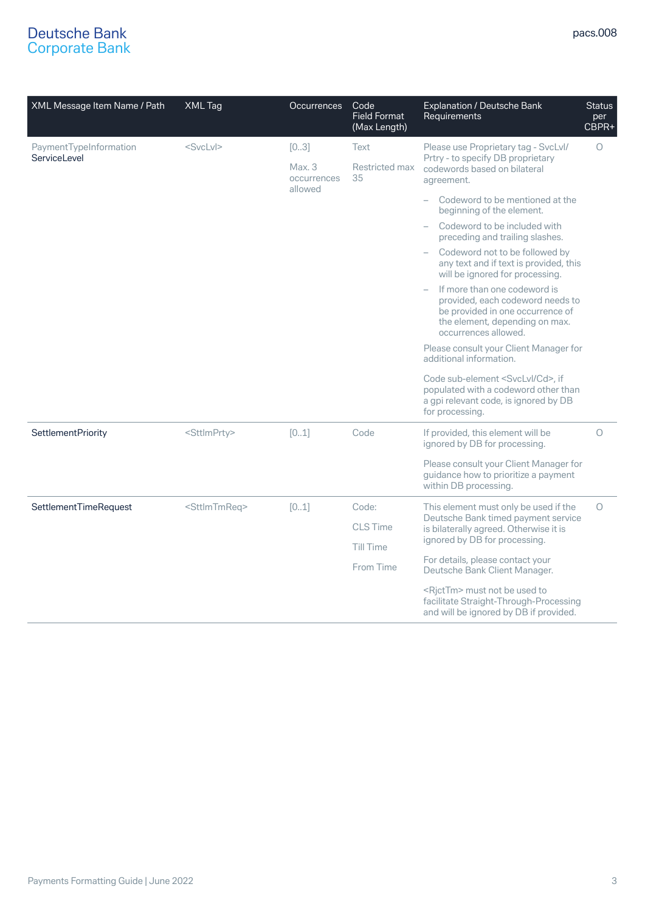| XML Message Item Name / Path           | XML Tag                   | <b>Occurrences</b>            | Code<br><b>Field Format</b><br>(Max Length) | Explanation / Deutsche Bank<br>Requirements                                                                                                                    | <b>Status</b><br>per<br>CBPR+ |
|----------------------------------------|---------------------------|-------------------------------|---------------------------------------------|----------------------------------------------------------------------------------------------------------------------------------------------------------------|-------------------------------|
| PaymentTypeInformation<br>ServiceLevel | $<$ SvcLvI $>$            | [03]<br>Max. 3<br>occurrences | Text<br>Restricted max<br>35                | Please use Proprietary tag - SvcLvl/<br>Prtry - to specify DB proprietary<br>codewords based on bilateral<br>agreement.                                        | $\circ$                       |
|                                        |                           | allowed                       |                                             | Codeword to be mentioned at the<br>$\overline{\phantom{0}}$<br>beginning of the element.                                                                       |                               |
|                                        |                           |                               |                                             | Codeword to be included with<br>preceding and trailing slashes.                                                                                                |                               |
|                                        |                           |                               |                                             | Codeword not to be followed by<br>any text and if text is provided, this<br>will be ignored for processing.                                                    |                               |
|                                        |                           |                               |                                             | If more than one codeword is<br>provided, each codeword needs to<br>be provided in one occurrence of<br>the element, depending on max.<br>occurrences allowed. |                               |
|                                        |                           |                               |                                             | Please consult your Client Manager for<br>additional information.                                                                                              |                               |
|                                        |                           |                               |                                             | Code sub-element <svclvl cd="">, if<br/>populated with a codeword other than<br/>a gpi relevant code, is ignored by DB<br/>for processing.</svclvl>            |                               |
| <b>SettlementPriority</b>              | <sttlmprty></sttlmprty>   | [01]                          | Code                                        | If provided, this element will be<br>ignored by DB for processing.                                                                                             | $\circ$                       |
|                                        |                           |                               |                                             | Please consult your Client Manager for<br>guidance how to prioritize a payment<br>within DB processing.                                                        |                               |
| SettlementTimeRequest                  | <sttlmtmreq></sttlmtmreq> | [01]                          | Code:                                       | This element must only be used if the<br>Deutsche Bank timed payment service                                                                                   | $\circ$                       |
|                                        |                           |                               | <b>CLS</b> Time                             | is bilaterally agreed. Otherwise it is                                                                                                                         |                               |
|                                        |                           |                               | <b>Till Time</b>                            | ignored by DB for processing.                                                                                                                                  |                               |
|                                        |                           |                               | From Time                                   | For details, please contact your<br>Deutsche Bank Client Manager.                                                                                              |                               |
|                                        |                           |                               |                                             | <rjcttm> must not be used to<br/>facilitate Straight-Through-Processing<br/>and will be ignored by DB if provided.</rjcttm>                                    |                               |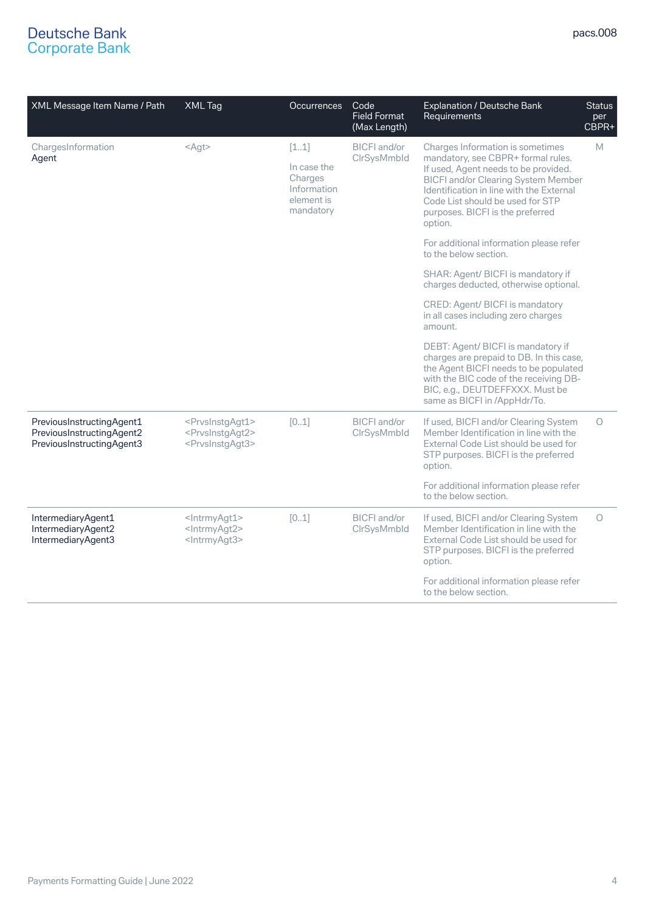| XML Message Item Name / Path                                                        | XML Tag                                                                                                 | <b>Occurrences</b>                                                       | Code<br><b>Field Format</b><br>(Max Length) | <b>Explanation / Deutsche Bank</b><br>Requirements                                                                                                                                                                                                                                          | <b>Status</b><br>per<br>CBPR+ |
|-------------------------------------------------------------------------------------|---------------------------------------------------------------------------------------------------------|--------------------------------------------------------------------------|---------------------------------------------|---------------------------------------------------------------------------------------------------------------------------------------------------------------------------------------------------------------------------------------------------------------------------------------------|-------------------------------|
| ChargesInformation<br>Agent                                                         | $<$ Agt>                                                                                                | [11]<br>In case the<br>Charges<br>Information<br>element is<br>mandatory | <b>BICFI</b> and/or<br>ClrSysMmbld          | Charges Information is sometimes<br>mandatory, see CBPR+ formal rules.<br>If used, Agent needs to be provided.<br><b>BICFI and/or Clearing System Member</b><br>Identification in line with the External<br>Code List should be used for STP<br>purposes. BICFI is the preferred<br>option. | M                             |
|                                                                                     |                                                                                                         |                                                                          |                                             | For additional information please refer<br>to the below section.                                                                                                                                                                                                                            |                               |
|                                                                                     |                                                                                                         |                                                                          |                                             | SHAR: Agent/ BICFI is mandatory if<br>charges deducted, otherwise optional.                                                                                                                                                                                                                 |                               |
|                                                                                     |                                                                                                         |                                                                          |                                             | CRED: Agent/ BICFI is mandatory<br>in all cases including zero charges<br>amount.                                                                                                                                                                                                           |                               |
|                                                                                     |                                                                                                         |                                                                          |                                             | DEBT: Agent/ BICFI is mandatory if<br>charges are prepaid to DB. In this case,<br>the Agent BICFI needs to be populated<br>with the BIC code of the receiving DB-<br>BIC, e.g., DEUTDEFFXXX. Must be<br>same as BICFI in /AppHdr/To.                                                        |                               |
| PreviousInstructingAgent1<br>PreviousInstructingAgent2<br>PreviousInstructingAgent3 | <prvsinstgagt1><br/><prvsinstgagt2><br/><prvsinstgagt3></prvsinstgagt3></prvsinstgagt2></prvsinstgagt1> | [01]                                                                     | <b>BICFI</b> and/or<br>ClrSysMmbld          | If used, BICFI and/or Clearing System<br>Member Identification in line with the<br>External Code List should be used for<br>STP purposes. BICFI is the preferred<br>option.                                                                                                                 | $\bigcap$                     |
|                                                                                     |                                                                                                         |                                                                          |                                             | For additional information please refer<br>to the below section.                                                                                                                                                                                                                            |                               |
| IntermediaryAgent1<br>IntermediaryAgent2<br>IntermediaryAgent3                      | <lntrmyagt1><br/><lntrmyagt2><br/><lntrmyagt3></lntrmyagt3></lntrmyagt2></lntrmyagt1>                   | [01]                                                                     | <b>BICFI</b> and/or<br>ClrSysMmbld          | If used, BICFI and/or Clearing System<br>Member Identification in line with the<br>External Code List should be used for<br>STP purposes. BICFI is the preferred<br>option.                                                                                                                 | $\circ$                       |
|                                                                                     |                                                                                                         |                                                                          |                                             | For additional information please refer<br>to the below section.                                                                                                                                                                                                                            |                               |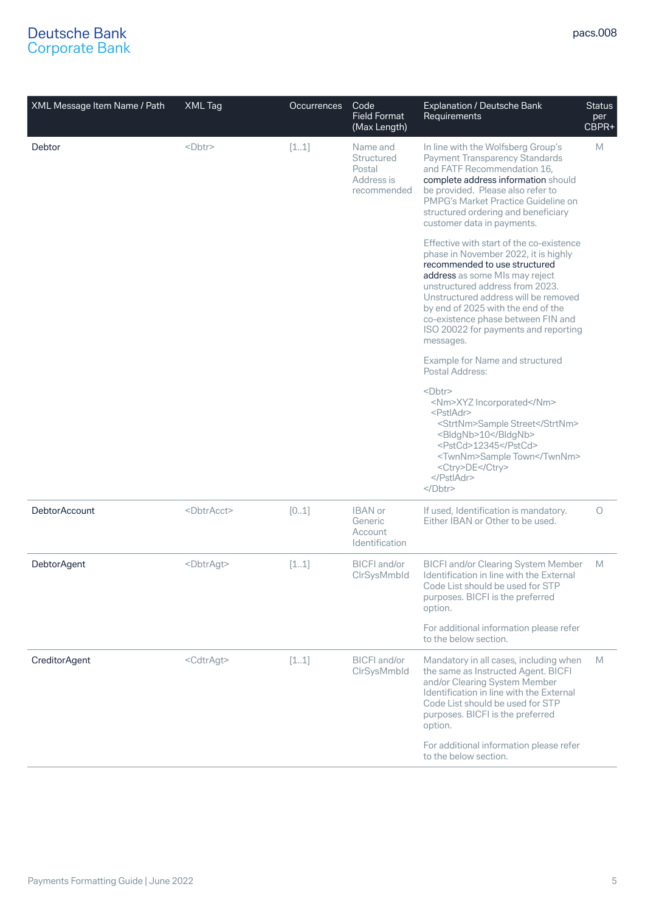| XML Message Item Name / Path | XML Tag               | <b>Occurrences</b> | Code<br><b>Field Format</b><br>(Max Length)                          | Explanation / Deutsche Bank<br>Requirements                                                                                                                                                                                                                                                                                                                     | <b>Status</b><br>per<br>CBPR+ |
|------------------------------|-----------------------|--------------------|----------------------------------------------------------------------|-----------------------------------------------------------------------------------------------------------------------------------------------------------------------------------------------------------------------------------------------------------------------------------------------------------------------------------------------------------------|-------------------------------|
| Debtor                       | <dbtr></dbtr>         | [11]               | Name and<br><b>Structured</b><br>Postal<br>Address is<br>recommended | In line with the Wolfsberg Group's<br><b>Payment Transparency Standards</b><br>and FATF Recommendation 16,<br>complete address information should<br>be provided. Please also refer to<br>PMPG's Market Practice Guideline on<br>structured ordering and beneficiary<br>customer data in payments.                                                              | M                             |
|                              |                       |                    |                                                                      | Effective with start of the co-existence<br>phase in November 2022, it is highly<br>recommended to use structured<br>address as some MIs may reject<br>unstructured address from 2023.<br>Unstructured address will be removed<br>by end of 2025 with the end of the<br>co-existence phase between FIN and<br>ISO 20022 for payments and reporting<br>messages. |                               |
|                              |                       |                    |                                                                      | Example for Name and structured<br>Postal Address:                                                                                                                                                                                                                                                                                                              |                               |
|                              |                       |                    |                                                                      | <dbtr><br/><nm>XYZ Incorporated</nm><br/><pstladr><br/><strtnm>Sample Street</strtnm><br/><bldgnb>10</bldgnb><br/><pstcd>12345</pstcd><br/><twnnm>Sample Town</twnnm><br/><ctry>DE</ctry><br/></pstladr><br/><math>&lt;</math>/Dbtr&gt;</dbtr>                                                                                                                  |                               |
| DebtorAccount                | <dbtracct></dbtracct> | [01]               | <b>IBAN</b> or<br>Generic<br>Account<br>Identification               | If used, Identification is mandatory.<br>Either IBAN or Other to be used.                                                                                                                                                                                                                                                                                       | 0                             |
| <b>DebtorAgent</b>           | <dbtragt></dbtragt>   | [11]               | <b>BICFI</b> and/or<br><b>CIrSvsMmbld</b>                            | <b>BICFI and/or Clearing System Member</b><br>Identification in line with the External<br>Code List should be used for STP<br>purposes. BICFI is the preferred<br>option.                                                                                                                                                                                       | M                             |
|                              |                       |                    |                                                                      | For additional information please refer<br>to the below section.                                                                                                                                                                                                                                                                                                |                               |
| <b>CreditorAgent</b>         | <cdtragt></cdtragt>   | [11]               | <b>BICFI</b> and/or<br>CIrSysMmbld                                   | Mandatory in all cases, including when<br>the same as Instructed Agent. BICFI<br>and/or Clearing System Member<br>Identification in line with the External<br>Code List should be used for STP<br>purposes. BICFI is the preferred<br>option.                                                                                                                   | M                             |
|                              |                       |                    |                                                                      | For additional information please refer<br>to the below section.                                                                                                                                                                                                                                                                                                |                               |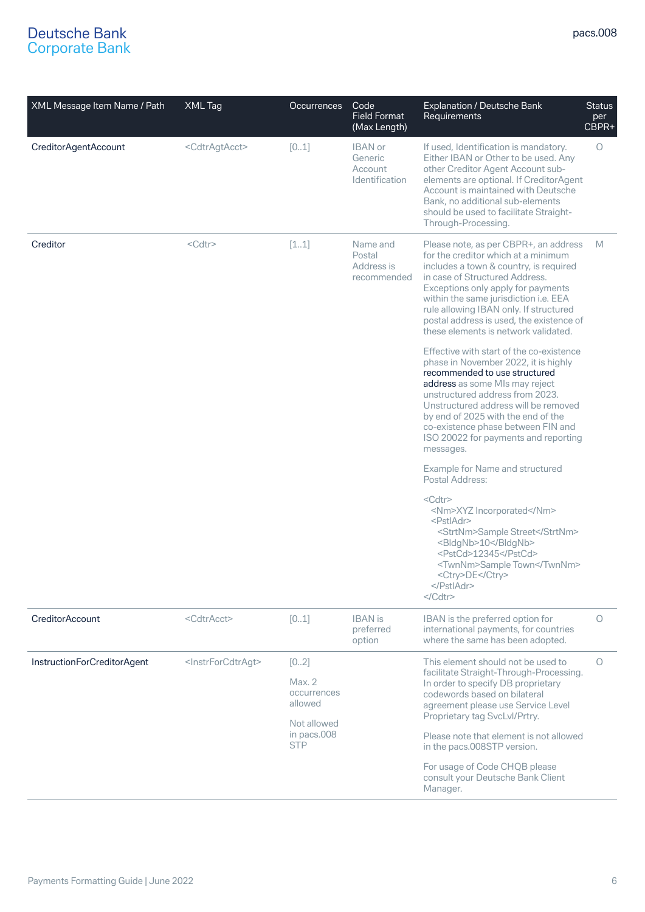| XML Message Item Name / Path | <b>XML Tag</b>                      | <b>Occurrences</b>                                                                   | Code<br><b>Field Format</b><br>(Max Length)     | <b>Explanation / Deutsche Bank</b><br>Requirements                                                                                                                                                                                                                                                                                                                                     | <b>Status</b><br>per<br>CBPR+ |
|------------------------------|-------------------------------------|--------------------------------------------------------------------------------------|-------------------------------------------------|----------------------------------------------------------------------------------------------------------------------------------------------------------------------------------------------------------------------------------------------------------------------------------------------------------------------------------------------------------------------------------------|-------------------------------|
| CreditorAgentAccount         | <cdtragtacct></cdtragtacct>         | [01]                                                                                 | IBAN or<br>Generic<br>Account<br>Identification | If used, Identification is mandatory.<br>Either IBAN or Other to be used. Any<br>other Creditor Agent Account sub-<br>elements are optional. If CreditorAgent<br>Account is maintained with Deutsche<br>Bank, no additional sub-elements<br>should be used to facilitate Straight-<br>Through-Processing.                                                                              | $\circ$                       |
| Creditor                     | <cdtr><br/>[11]</cdtr>              |                                                                                      | Name and<br>Postal<br>Address is<br>recommended | Please note, as per CBPR+, an address<br>for the creditor which at a minimum<br>includes a town & country, is required<br>in case of Structured Address.<br>Exceptions only apply for payments<br>within the same jurisdiction i.e. EEA<br>rule allowing IBAN only. If structured<br>postal address is used, the existence of<br>these elements is network validated.                  | M                             |
|                              |                                     |                                                                                      |                                                 | Effective with start of the co-existence<br>phase in November 2022, it is highly<br>recommended to use structured<br>address as some MIs may reject<br>unstructured address from 2023.<br>Unstructured address will be removed<br>by end of 2025 with the end of the<br>co-existence phase between FIN and<br>ISO 20022 for payments and reporting<br>messages.                        |                               |
|                              |                                     |                                                                                      |                                                 | Example for Name and structured<br>Postal Address:                                                                                                                                                                                                                                                                                                                                     |                               |
|                              |                                     |                                                                                      |                                                 | <cdtr><br/><nm>XYZ Incorporated</nm><br/><pstladr><br/><strtnm>Sample Street</strtnm><br/><bldgnb>10</bldgnb><br/><pstcd>12345</pstcd><br/><twnnm>Sample Town</twnnm><br/><ctry>DE</ctry><br/></pstladr><br/></cdtr>                                                                                                                                                                   |                               |
| <b>CreditorAccount</b>       | <cdtracct></cdtracct>               | [01]                                                                                 | <b>IBAN</b> is<br>preferred<br>option           | IBAN is the preferred option for<br>international payments, for countries<br>where the same has been adopted.                                                                                                                                                                                                                                                                          | O                             |
| InstructionForCreditorAgent  | <instrforcdtragt></instrforcdtragt> | [02]<br>Max. 2<br>occurrences<br>allowed<br>Not allowed<br>in pacs.008<br><b>STP</b> |                                                 | This element should not be used to<br>facilitate Straight-Through-Processing.<br>In order to specify DB proprietary<br>codewords based on bilateral<br>agreement please use Service Level<br>Proprietary tag SvcLvl/Prtry.<br>Please note that element is not allowed<br>in the pacs.008STP version.<br>For usage of Code CHQB please<br>consult your Deutsche Bank Client<br>Manager. | 0                             |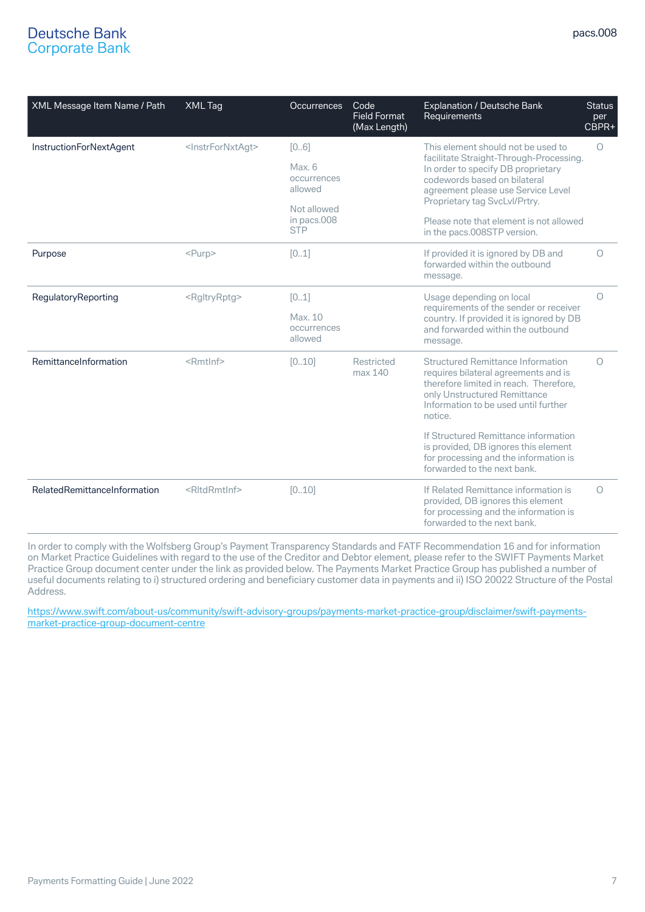| XML Message Item Name / Path   | <b>XML Tag</b>                    | <b>Occurrences</b>                | Code<br><b>Field Format</b><br>(Max Length) | <b>Explanation / Deutsche Bank</b><br>Requirements                                                                                                                                                            | <b>Status</b><br>per<br>CBPR+ |
|--------------------------------|-----------------------------------|-----------------------------------|---------------------------------------------|---------------------------------------------------------------------------------------------------------------------------------------------------------------------------------------------------------------|-------------------------------|
| <b>InstructionForNextAgent</b> | <instrfornxtagt></instrfornxtagt> | [06]                              |                                             | This element should not be used to                                                                                                                                                                            | $\circ$                       |
|                                |                                   | Max. 6<br>occurrences<br>allowed  |                                             | facilitate Straight-Through-Processing.<br>In order to specify DB proprietary<br>codewords based on bilateral<br>agreement please use Service Level                                                           |                               |
|                                |                                   | Not allowed                       |                                             | Proprietary tag SvcLvl/Prtry.                                                                                                                                                                                 |                               |
|                                |                                   | in pacs.008<br><b>STP</b>         |                                             | Please note that element is not allowed<br>in the pacs.008STP version.                                                                                                                                        |                               |
| Purpose                        | $<$ Purp>                         | [01]                              |                                             | If provided it is ignored by DB and<br>forwarded within the outbound<br>message.                                                                                                                              | $\circ$                       |
| RegulatoryReporting            | <rgltryrptg></rgltryrptg>         | [01]                              |                                             | Usage depending on local<br>requirements of the sender or receiver                                                                                                                                            | $\circ$                       |
|                                |                                   | Max. 10<br>occurrences<br>allowed |                                             | country. If provided it is ignored by DB<br>and forwarded within the outbound<br>message.                                                                                                                     |                               |
| RemittanceInformation          | <rmtlnf></rmtlnf>                 | [010]                             | Restricted<br>max 140                       | <b>Structured Remittance Information</b><br>requires bilateral agreements and is<br>therefore limited in reach. Therefore,<br>only Unstructured Remittance<br>Information to be used until further<br>notice. | $\circ$                       |
|                                |                                   |                                   |                                             | If Structured Remittance information<br>is provided, DB ignores this element<br>for processing and the information is<br>forwarded to the next bank.                                                          |                               |
| RelatedRemittanceInformation   | <rltdrmtlnf></rltdrmtlnf>         | [010]                             |                                             | If Related Remittance information is<br>provided, DB ignores this element<br>for processing and the information is<br>forwarded to the next bank.                                                             | $\circ$                       |

In order to comply with the Wolfsberg Group's Payment Transparency Standards and FATF Recommendation 16 and for information on Market Practice Guidelines with regard to the use of the Creditor and Debtor element, please refer to the SWIFT Payments Market Practice Group document center under the link as provided below. The Payments Market Practice Group has published a number of useful documents relating to i) structured ordering and beneficiary customer data in payments and ii) ISO 20022 Structure of the Postal Address.

[https://www.swift.com/about-us/community/swift-advisory-groups/payments-market-practice-group/disclaimer/swift-payments](https://www.swift.com/about-us/community/swift-advisory-groups/payments-market-practice-group/disclaimer/swift-payments-market-practice-group-document-centre)[market-practice-group-document-centre](https://www.swift.com/about-us/community/swift-advisory-groups/payments-market-practice-group/disclaimer/swift-payments-market-practice-group-document-centre)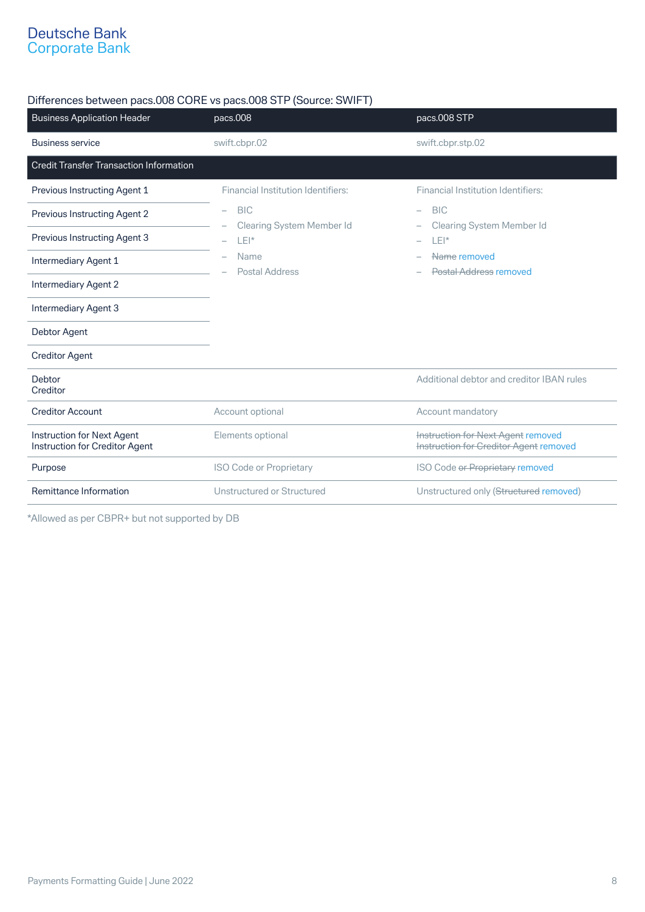## Differences between pacs.008 CORE vs pacs.008 STP (Source: SWIFT)

| <b>Business Application Header</b>                           | pacs.008                                  | pacs.008 STP                                                                 |
|--------------------------------------------------------------|-------------------------------------------|------------------------------------------------------------------------------|
| <b>Business service</b>                                      | swift.cbpr.02                             | swift.cbpr.stp.02                                                            |
| <b>Credit Transfer Transaction Information</b>               |                                           |                                                                              |
| Previous Instructing Agent 1                                 | <b>Financial Institution Identifiers:</b> | <b>Financial Institution Identifiers:</b>                                    |
| Previous Instructing Agent 2                                 | <b>BIC</b><br>$\overline{\phantom{0}}$    | <b>BIC</b><br>$\overline{\phantom{0}}$                                       |
| Previous Instructing Agent 3                                 | <b>Clearing System Member Id</b><br>LEI*  | <b>Clearing System Member Id</b><br>$LEI^*$                                  |
| Intermediary Agent 1                                         | Name<br><b>Postal Address</b>             | Name removed<br>Postal Address removed                                       |
| <b>Intermediary Agent 2</b>                                  |                                           |                                                                              |
| <b>Intermediary Agent 3</b>                                  |                                           |                                                                              |
| Debtor Agent                                                 |                                           |                                                                              |
| <b>Creditor Agent</b>                                        |                                           |                                                                              |
| Debtor<br>Creditor                                           |                                           | Additional debtor and creditor IBAN rules                                    |
| <b>Creditor Account</b>                                      | Account optional                          | Account mandatory                                                            |
| Instruction for Next Agent<br>Instruction for Creditor Agent | Elements optional                         | Instruction for Next Agent removed<br>Instruction for Creditor Agent removed |
| Purpose                                                      | ISO Code or Proprietary                   | ISO Code or Proprietary removed                                              |
| Remittance Information                                       | Unstructured or Structured                | Unstructured only (Structured removed)                                       |

\*Allowed as per CBPR+ but not supported by DB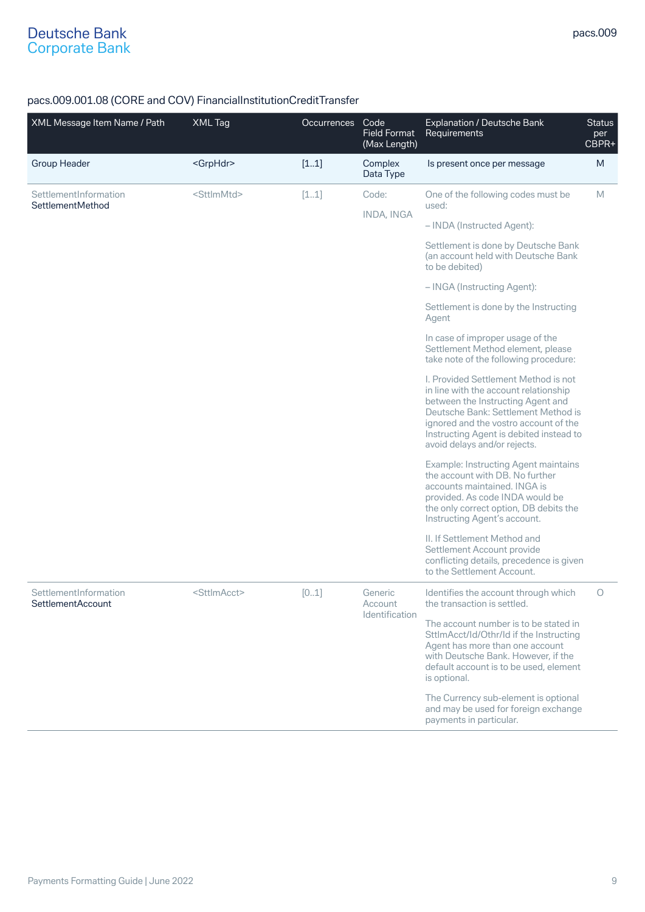## pacs.009.001.08 (CORE and COV) FinancialInstitutionCreditTransfer

| XML Message Item Name / Path                      | XML Tag                 | <b>Occurrences</b> | Code<br><b>Field Format</b><br>(Max Length) | <b>Explanation / Deutsche Bank</b><br>Requirements                                                                                                                                                                                                                            | <b>Status</b><br>per<br>$C$ BPR+ |
|---------------------------------------------------|-------------------------|--------------------|---------------------------------------------|-------------------------------------------------------------------------------------------------------------------------------------------------------------------------------------------------------------------------------------------------------------------------------|----------------------------------|
| <b>Group Header</b>                               | <grphdr></grphdr>       | [11]               | Complex<br>Data Type                        | Is present once per message                                                                                                                                                                                                                                                   | M                                |
| SettlementInformation<br>SettlementMethod         | <sttlmmtd></sttlmmtd>   | [11]               | Code:                                       | One of the following codes must be<br>used:                                                                                                                                                                                                                                   | M                                |
|                                                   |                         |                    | <b>INDA, INGA</b>                           | - INDA (Instructed Agent):                                                                                                                                                                                                                                                    |                                  |
|                                                   |                         |                    |                                             | Settlement is done by Deutsche Bank<br>(an account held with Deutsche Bank<br>to be debited)                                                                                                                                                                                  |                                  |
|                                                   |                         |                    |                                             | - INGA (Instructing Agent):                                                                                                                                                                                                                                                   |                                  |
|                                                   |                         |                    |                                             | Settlement is done by the Instructing<br>Agent                                                                                                                                                                                                                                |                                  |
|                                                   |                         |                    |                                             | In case of improper usage of the<br>Settlement Method element, please<br>take note of the following procedure:                                                                                                                                                                |                                  |
|                                                   |                         |                    |                                             | I. Provided Settlement Method is not<br>in line with the account relationship<br>between the Instructing Agent and<br>Deutsche Bank: Settlement Method is<br>ignored and the vostro account of the<br>Instructing Agent is debited instead to<br>avoid delays and/or rejects. |                                  |
|                                                   |                         |                    |                                             | <b>Example: Instructing Agent maintains</b><br>the account with DB. No further<br>accounts maintained. INGA is<br>provided. As code INDA would be<br>the only correct option, DB debits the<br>Instructing Agent's account.                                                   |                                  |
|                                                   |                         |                    |                                             | II. If Settlement Method and<br>Settlement Account provide<br>conflicting details, precedence is given<br>to the Settlement Account.                                                                                                                                          |                                  |
| SettlementInformation<br><b>SettlementAccount</b> | <sttlmacct></sttlmacct> | [01]               | Generic<br>Account                          | Identifies the account through which<br>the transaction is settled.                                                                                                                                                                                                           | 0                                |
|                                                   |                         |                    | Identification                              | The account number is to be stated in<br>SttlmAcct/Id/Othr/Id if the Instructing<br>Agent has more than one account<br>with Deutsche Bank. However, if the<br>default account is to be used, element<br>is optional.                                                          |                                  |
|                                                   |                         |                    |                                             | The Currency sub-element is optional<br>and may be used for foreign exchange<br>payments in particular.                                                                                                                                                                       |                                  |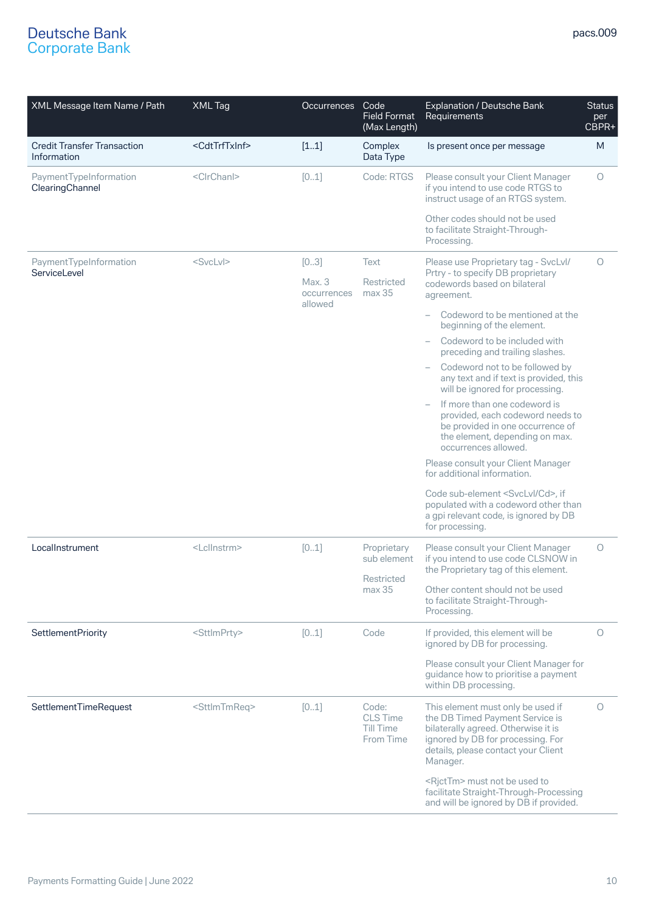| XML Message Item Name / Path                      | XML Tag                     | Occurrences                      | Code<br><b>Field Format</b><br>(Max Length)                   | Explanation / Deutsche Bank<br>Requirements                                                                                                                                                         | <b>Status</b><br>per<br>CBPR+ |
|---------------------------------------------------|-----------------------------|----------------------------------|---------------------------------------------------------------|-----------------------------------------------------------------------------------------------------------------------------------------------------------------------------------------------------|-------------------------------|
| <b>Credit Transfer Transaction</b><br>Information | <cdttrftxinf></cdttrftxinf> | [11]                             | Complex<br>Data Type                                          | Is present once per message                                                                                                                                                                         | M                             |
| PaymentTypeInformation<br>ClearingChannel         | <clrchanl></clrchanl>       | [01]                             | Code: RTGS                                                    | Please consult your Client Manager<br>if you intend to use code RTGS to<br>instruct usage of an RTGS system.                                                                                        | O                             |
|                                                   |                             |                                  |                                                               | Other codes should not be used<br>to facilitate Straight-Through-<br>Processing.                                                                                                                    |                               |
| PaymentTypeInformation<br>ServiceLevel            | $<$ SvcLvI $>$              | [03]                             | Text                                                          | Please use Proprietary tag - SvcLvl/<br>Prtry - to specify DB proprietary                                                                                                                           | O                             |
|                                                   |                             | Max. 3<br>occurrences<br>allowed | Restricted<br>max <sub>35</sub>                               | codewords based on bilateral<br>agreement.                                                                                                                                                          |                               |
|                                                   |                             |                                  |                                                               | Codeword to be mentioned at the<br>beginning of the element.                                                                                                                                        |                               |
|                                                   |                             |                                  |                                                               | Codeword to be included with<br>preceding and trailing slashes.                                                                                                                                     |                               |
|                                                   |                             |                                  |                                                               | Codeword not to be followed by<br>any text and if text is provided, this<br>will be ignored for processing.                                                                                         |                               |
|                                                   |                             |                                  |                                                               | If more than one codeword is<br>provided, each codeword needs to<br>be provided in one occurrence of<br>the element, depending on max.<br>occurrences allowed.                                      |                               |
|                                                   |                             |                                  |                                                               | Please consult your Client Manager<br>for additional information.                                                                                                                                   |                               |
|                                                   |                             |                                  |                                                               | Code sub-element <svclvl cd="">, if<br/>populated with a codeword other than<br/>a gpi relevant code, is ignored by DB<br/>for processing.</svclvl>                                                 |                               |
| LocalInstrument                                   | <lcllnstrm></lcllnstrm>     | [01]                             | Proprietary<br>sub element<br>Restricted<br>max <sub>35</sub> | Please consult your Client Manager<br>if you intend to use code CLSNOW in<br>the Proprietary tag of this element.                                                                                   | O                             |
|                                                   |                             |                                  |                                                               | Other content should not be used<br>to facilitate Straight-Through-<br>Processing.                                                                                                                  |                               |
| <b>SettlementPriority</b>                         | <sttlmprty></sttlmprty>     | [01]                             | Code                                                          | If provided, this element will be<br>ignored by DB for processing.                                                                                                                                  | 0                             |
|                                                   |                             |                                  |                                                               | Please consult your Client Manager for<br>guidance how to prioritise a payment<br>within DB processing.                                                                                             |                               |
| SettlementTimeRequest                             | <sttlmtmreq></sttlmtmreq>   | [01]                             | Code:<br><b>CLS Time</b><br>Till Time<br>From Time            | This element must only be used if<br>the DB Timed Payment Service is<br>bilaterally agreed. Otherwise it is<br>ignored by DB for processing. For<br>details, please contact your Client<br>Manager. | 0                             |
|                                                   |                             |                                  |                                                               | <rjcttm> must not be used to<br/>facilitate Straight-Through-Processing<br/>and will be ignored by DB if provided.</rjcttm>                                                                         |                               |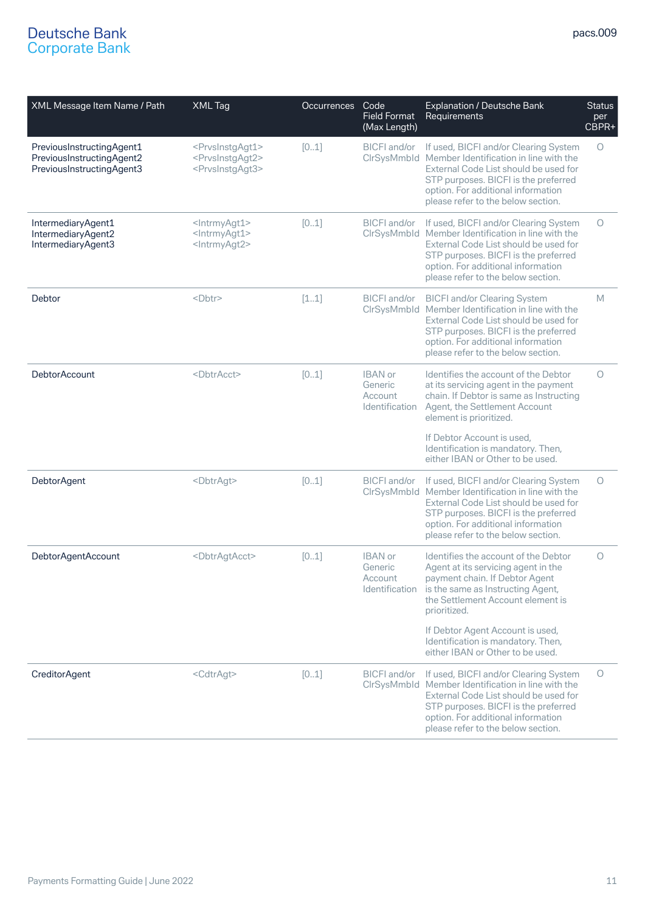| XML Message Item Name / Path                                                        | XML Tag                                                                                                 | <b>Occurrences</b> | Code<br><b>Field Format</b><br>(Max Length)            | Explanation / Deutsche Bank<br>Requirements                                                                                                                                                                                                                           | <b>Status</b><br>per<br>CBPR+ |
|-------------------------------------------------------------------------------------|---------------------------------------------------------------------------------------------------------|--------------------|--------------------------------------------------------|-----------------------------------------------------------------------------------------------------------------------------------------------------------------------------------------------------------------------------------------------------------------------|-------------------------------|
| PreviousInstructingAgent1<br>PreviousInstructingAgent2<br>PreviousInstructingAgent3 | <prvsinstgagt1><br/><prvsinstgagt2><br/><prvsinstgagt3></prvsinstgagt3></prvsinstgagt2></prvsinstgagt1> | [01]               |                                                        | BICFI and/or If used, BICFI and/or Clearing System<br>CIrSysMmbId Member Identification in line with the<br>External Code List should be used for<br>STP purposes. BICFI is the preferred<br>option. For additional information<br>please refer to the below section. | O                             |
| IntermediaryAgent1<br>IntermediaryAgent2<br>IntermediaryAgent3                      | <lntrmyagt1><br/><lntrmyagt1><br/><lntrmyagt2></lntrmyagt2></lntrmyagt1></lntrmyagt1>                   | [01]               | BICFI and/or                                           | If used, BICFI and/or Clearing System<br>CIrSysMmbId Member Identification in line with the<br>External Code List should be used for<br>STP purposes. BICFI is the preferred<br>option. For additional information<br>please refer to the below section.              | Ο                             |
| <b>Debtor</b>                                                                       | <dbtr></dbtr>                                                                                           | [11]               | <b>BICFI</b> and/or                                    | <b>BICFI and/or Clearing System</b><br>CIrSysMmbId Member Identification in line with the<br>External Code List should be used for<br>STP purposes. BICFI is the preferred<br>option. For additional information<br>please refer to the below section.                | M                             |
| <b>DebtorAccount</b>                                                                | <dbtracct></dbtracct>                                                                                   | [01]               | <b>IBAN</b> or<br>Generic<br>Account<br>Identification | Identifies the account of the Debtor<br>at its servicing agent in the payment<br>chain. If Debtor is same as Instructing<br>Agent, the Settlement Account<br>element is prioritized.<br>If Debtor Account is used,                                                    | $\circ$                       |
|                                                                                     |                                                                                                         |                    |                                                        | Identification is mandatory. Then,<br>either IBAN or Other to be used.                                                                                                                                                                                                |                               |
| <b>DebtorAgent</b>                                                                  | <dbtragt></dbtragt>                                                                                     | [01]               | BICFI and/or                                           | If used, BICFI and/or Clearing System<br>CIrSysMmbId Member Identification in line with the<br>External Code List should be used for<br>STP purposes. BICFI is the preferred<br>option. For additional information<br>please refer to the below section.              | $\circ$                       |
| DebtorAgentAccount                                                                  | <dbtragtacct></dbtragtacct>                                                                             | [01]               | <b>IBAN</b> or<br>Generic<br>Account<br>Identification | Identifies the account of the Debtor<br>Agent at its servicing agent in the<br>payment chain. If Debtor Agent<br>is the same as Instructing Agent,<br>the Settlement Account element is<br>prioritized.                                                               | $\circ$                       |
|                                                                                     |                                                                                                         |                    |                                                        | If Debtor Agent Account is used,<br>Identification is mandatory. Then,<br>either IBAN or Other to be used.                                                                                                                                                            |                               |
| <b>CreditorAgent</b>                                                                | <cdtragt></cdtragt>                                                                                     | [01]               | BICFI and/or                                           | If used, BICFI and/or Clearing System<br>CIrSysMmbId Member Identification in line with the<br>External Code List should be used for<br>STP purposes. BICFI is the preferred<br>option. For additional information<br>please refer to the below section.              | O                             |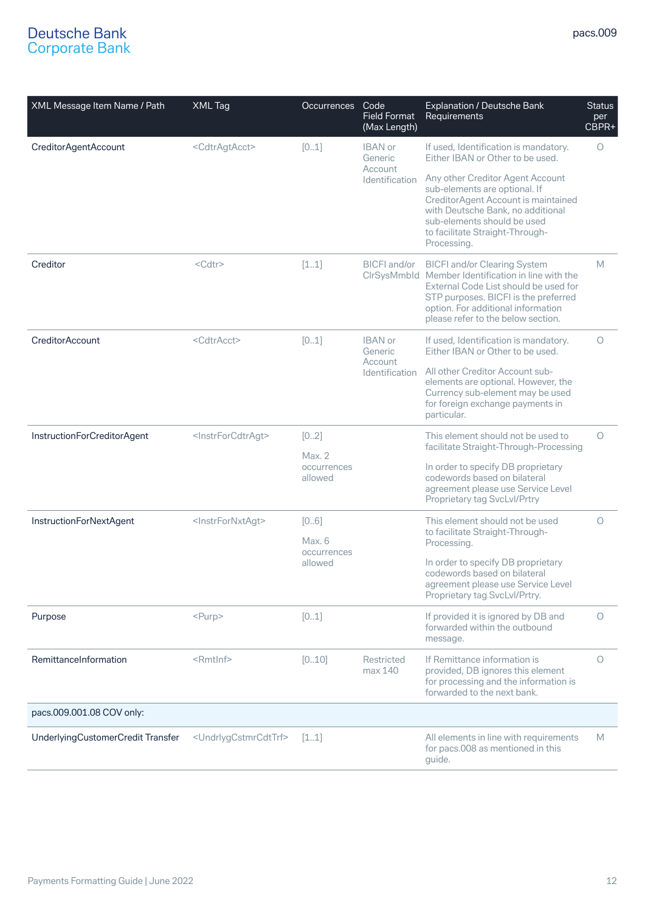| XML Message Item Name / Path      | <b>XML Tag</b>                            | <b>Occurrences</b>                       | Code<br><b>Field Format</b><br>(Max Length)            | Explanation / Deutsche Bank<br>Requirements                                                                                                                                                                                                            | <b>Status</b><br>per<br>CBPR+ |
|-----------------------------------|-------------------------------------------|------------------------------------------|--------------------------------------------------------|--------------------------------------------------------------------------------------------------------------------------------------------------------------------------------------------------------------------------------------------------------|-------------------------------|
| CreditorAgentAccount              | <cdtragtacct></cdtragtacct>               | [01]                                     | <b>IBAN</b> or<br>Generic                              | If used, Identification is mandatory.<br>Either IBAN or Other to be used.                                                                                                                                                                              | $\circ$                       |
|                                   |                                           |                                          | Account<br>Identification                              | Any other Creditor Agent Account<br>sub-elements are optional. If<br>CreditorAgent Account is maintained<br>with Deutsche Bank, no additional<br>sub-elements should be used<br>to facilitate Straight-Through-<br>Processing.                         |                               |
| Creditor                          | $<$ Cdtr $>$                              | [11]                                     | BICFI and/or                                           | <b>BICFI and/or Clearing System</b><br>CIrSysMmbId Member Identification in line with the<br>External Code List should be used for<br>STP purposes. BICFI is the preferred<br>option. For additional information<br>please refer to the below section. | M                             |
| CreditorAccount                   | <cdtracct></cdtracct>                     | [01]                                     | <b>IBAN</b> or<br>Generic<br>Account<br>Identification | If used, Identification is mandatory.<br>Either IBAN or Other to be used.                                                                                                                                                                              | $\circ$                       |
|                                   |                                           |                                          |                                                        | All other Creditor Account sub-<br>elements are optional. However, the<br>Currency sub-element may be used<br>for foreign exchange payments in<br>particular.                                                                                          |                               |
| InstructionForCreditorAgent       | <instrforcdtragt></instrforcdtragt>       | [02]<br>Max.2                            |                                                        | This element should not be used to<br>facilitate Straight-Through-Processing                                                                                                                                                                           | 0                             |
|                                   |                                           | occurrences<br>allowed                   |                                                        | In order to specify DB proprietary<br>codewords based on bilateral<br>agreement please use Service Level<br>Proprietary tag SvcLvl/Prtry                                                                                                               |                               |
| InstructionForNextAgent           | <instrfornxtagt></instrfornxtagt>         | [06]<br>Max. 6<br>occurrences<br>allowed |                                                        | This element should not be used<br>to facilitate Straight-Through-<br>Processing.                                                                                                                                                                      | $\circ$                       |
|                                   |                                           |                                          |                                                        | In order to specify DB proprietary<br>codewords based on bilateral<br>agreement please use Service Level<br>Proprietary tag SvcLvl/Prtry.                                                                                                              |                               |
| Purpose                           | $<$ Purp $>$                              | [01]                                     |                                                        | If provided it is ignored by DB and<br>forwarded within the outbound<br>message.                                                                                                                                                                       | $\circ$                       |
| RemittanceInformation             | $<$ Rmtlnf $>$                            | [010]                                    | Restricted<br>max 140                                  | If Remittance information is<br>provided, DB ignores this element<br>for processing and the information is<br>forwarded to the next bank.                                                                                                              | O                             |
| pacs.009.001.08 COV only:         |                                           |                                          |                                                        |                                                                                                                                                                                                                                                        |                               |
| UnderlyingCustomerCredit Transfer | <undrlygcstmrcdttrf></undrlygcstmrcdttrf> | [11]                                     |                                                        | All elements in line with requirements<br>for pacs.008 as mentioned in this<br>guide.                                                                                                                                                                  | M                             |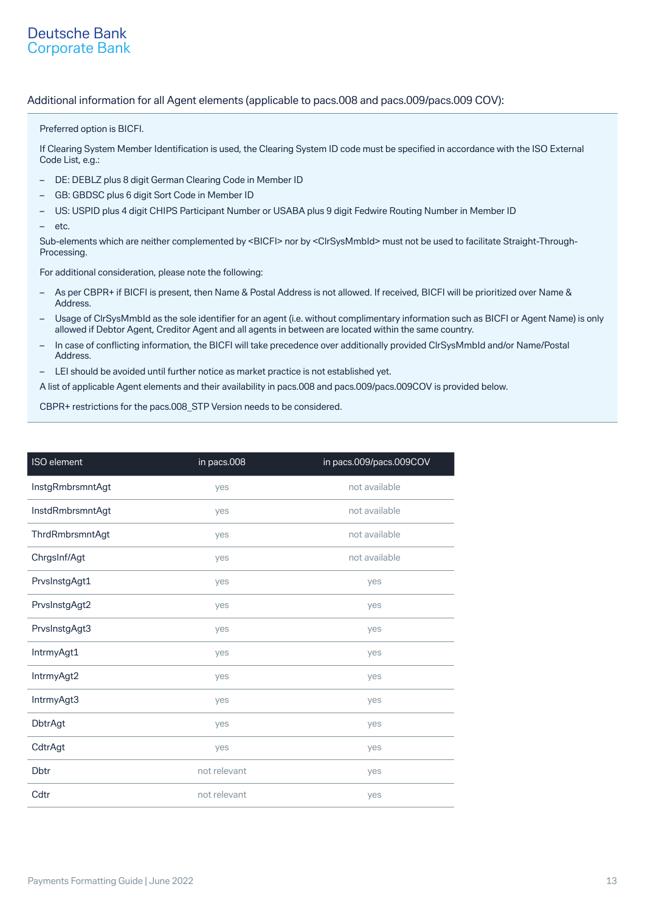### Additional information for all Agent elements (applicable to pacs.008 and pacs.009/pacs.009 COV):

Preferred option is BICFI.

If Clearing System Member Identification is used, the Clearing System ID code must be specified in accordance with the ISO External Code List, e.g.:

- DE: DEBLZ plus 8 digit German Clearing Code in Member ID
- GB: GBDSC plus 6 digit Sort Code in Member ID
- US: USPID plus 4 digit CHIPS Participant Number or USABA plus 9 digit Fedwire Routing Number in Member ID
- etc.

Sub-elements which are neither complemented by <BICFI> nor by <CIrSysMmbId> must not be used to facilitate Straight-Through-Processing.

For additional consideration, please note the following:

- As per CBPR+ if BICFI is present, then Name & Postal Address is not allowed. If received, BICFI will be prioritized over Name & Address.
- Usage of ClrSysMmbId as the sole identifier for an agent (i.e. without complimentary information such as BICFI or Agent Name) is only allowed if Debtor Agent, Creditor Agent and all agents in between are located within the same country.
- In case of conflicting information, the BICFI will take precedence over additionally provided ClrSysMmbId and/or Name/Postal Address.
- LEI should be avoided until further notice as market practice is not established yet.

A list of applicable Agent elements and their availability in pacs.008 and pacs.009/pacs.009COV is provided below.

CBPR+ restrictions for the pacs.008\_STP Version needs to be considered.

| ISO element      | in pacs.008  | in pacs.009/pacs.009COV |  |
|------------------|--------------|-------------------------|--|
| InstgRmbrsmntAgt | yes          | not available           |  |
| InstdRmbrsmntAgt | yes          | not available           |  |
| ThrdRmbrsmntAgt  | yes          | not available           |  |
| ChrgsInf/Agt     | yes          | not available           |  |
| PrvsInstgAgt1    | yes          | yes                     |  |
| PrvsInstgAgt2    | yes          | yes                     |  |
| PrvsInstgAgt3    | yes          | yes                     |  |
| IntrmyAgt1       | yes          | yes                     |  |
| IntrmyAgt2       | yes          | yes                     |  |
| IntrmyAgt3       | yes          | yes                     |  |
| <b>DbtrAgt</b>   | yes          | yes                     |  |
| CdtrAgt          | yes          | yes                     |  |
| <b>Dbtr</b>      | not relevant | yes                     |  |
| Cdtr             | not relevant | yes                     |  |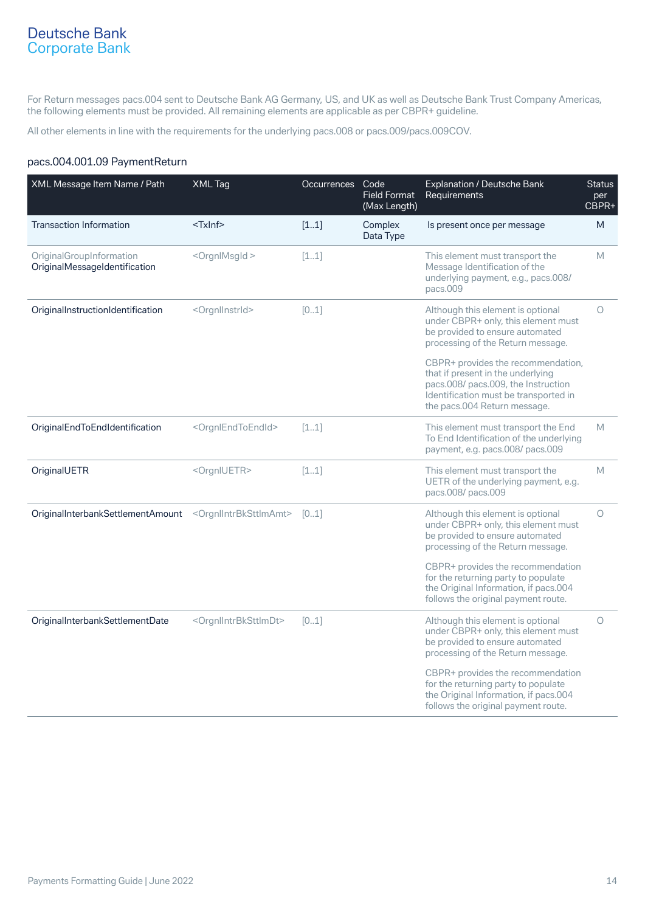For Return messages pacs.004 sent to Deutsche Bank AG Germany, US, and UK as well as Deutsche Bank Trust Company Americas, the following elements must be provided. All remaining elements are applicable as per CBPR+ guideline.

All other elements in line with the requirements for the underlying pacs.008 or pacs.009/pacs.009COV.

## pacs.004.001.09 PaymentReturn

| XML Message Item Name / Path                              | XML Tag                                     | Occurrences | Code<br><b>Field Format</b><br>(Max Length) | Explanation / Deutsche Bank<br>Requirements                                                                                                                                             | <b>Status</b><br>per<br>CBPR+ |
|-----------------------------------------------------------|---------------------------------------------|-------------|---------------------------------------------|-----------------------------------------------------------------------------------------------------------------------------------------------------------------------------------------|-------------------------------|
| <b>Transaction Information</b>                            | <txinf></txinf>                             | [11]        | Complex<br>Data Type                        | Is present once per message                                                                                                                                                             | M                             |
| OriginalGroupInformation<br>OriginalMessageIdentification | <orgnlmsgld></orgnlmsgld>                   | [11]        |                                             | This element must transport the<br>Message Identification of the<br>underlying payment, e.g., pacs.008/<br>pacs.009                                                                     | M                             |
| OriginalInstructionIdentification                         | <orgnllnstrld></orgnllnstrld>               | [01]        |                                             | Although this element is optional<br>under CBPR+ only, this element must<br>be provided to ensure automated<br>processing of the Return message.                                        | $\circ$                       |
|                                                           |                                             |             |                                             | CBPR+ provides the recommendation,<br>that if present in the underlying<br>pacs.008/ pacs.009, the Instruction<br>Identification must be transported in<br>the pacs.004 Return message. |                               |
| OriginalEndToEndIdentification                            | <orgnlendtoendid></orgnlendtoendid>         | [11]        |                                             | This element must transport the End<br>To End Identification of the underlying<br>payment, e.g. pacs.008/ pacs.009                                                                      | M                             |
| OriginalUETR                                              | <orgniuetr></orgniuetr>                     | [11]        |                                             | This element must transport the<br>UETR of the underlying payment, e.g.<br>pacs.008/ pacs.009                                                                                           | M                             |
| OriginalInterbankSettlementAmount                         | <orgnllntrbksttlmamt></orgnllntrbksttlmamt> | [01]        |                                             | Although this element is optional<br>under CBPR+ only, this element must<br>be provided to ensure automated<br>processing of the Return message.                                        | $\circ$                       |
|                                                           |                                             |             |                                             | CBPR+ provides the recommendation<br>for the returning party to populate<br>the Original Information, if pacs.004<br>follows the original payment route.                                |                               |
| OriginalInterbankSettlementDate                           | <orgnllntrbksttlmdt></orgnllntrbksttlmdt>   | [01]        |                                             | Although this element is optional<br>under CBPR+ only, this element must<br>be provided to ensure automated<br>processing of the Return message.                                        | $\circ$                       |
|                                                           |                                             |             |                                             | CBPR+ provides the recommendation<br>for the returning party to populate<br>the Original Information, if pacs.004<br>follows the original payment route.                                |                               |